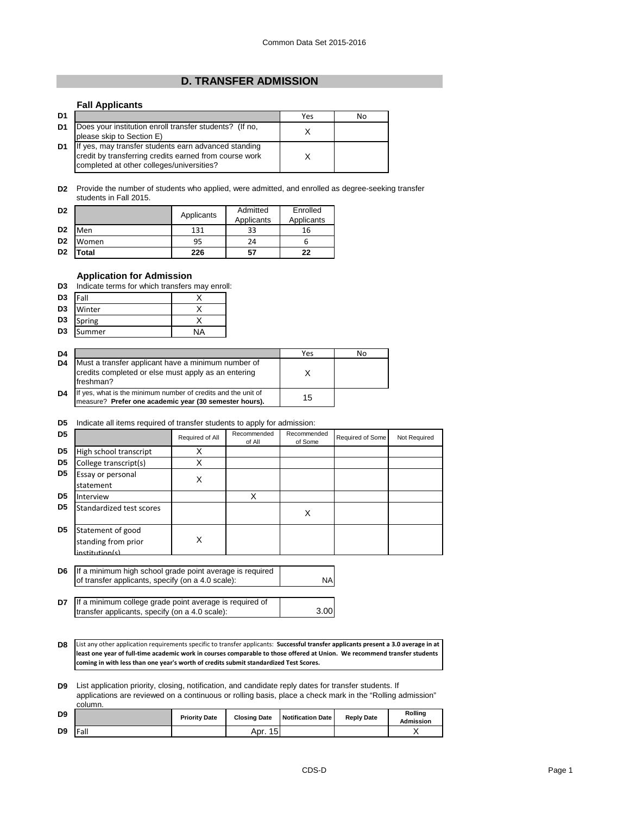## **D. TRANSFER ADMISSION**

## **Fall Applicants**

| D1             |                                                                                                                                                             | Yes | No |
|----------------|-------------------------------------------------------------------------------------------------------------------------------------------------------------|-----|----|
| D <sub>1</sub> | Does your institution enroll transfer students? (If no,<br>please skip to Section E)                                                                        |     |    |
| D1             | If yes, may transfer students earn advanced standing<br>credit by transferring credits earned from course work<br>completed at other colleges/universities? |     |    |

**D2** Provide the number of students who applied, were admitted, and enrolled as degree-seeking transfer students in Fall 2015.

| D <sub>2</sub> |       | Applicants | Admitted<br>Applicants | Enrolled<br>Applicants |
|----------------|-------|------------|------------------------|------------------------|
| D <sub>2</sub> | Men   | 131        | 33                     | 16                     |
| D <sub>2</sub> | Women | 95         | 24                     | b                      |
| D <sub>2</sub> | otal  | 226        | 57                     | 22                     |

## **Application for Admission**

| D3 Indicate terms for which transfers may enroll: |  |
|---------------------------------------------------|--|
|---------------------------------------------------|--|

| D3             | <b>Fall</b> |    |
|----------------|-------------|----|
| D <sub>3</sub> | Winter      |    |
| D3             | Spring      |    |
| D <sub>3</sub> | Summer      | ΝA |

| D <sub>4</sub> |                                                                                                                         | Yes | No |
|----------------|-------------------------------------------------------------------------------------------------------------------------|-----|----|
| D <sub>4</sub> | Must a transfer applicant have a minimum number of<br>credits completed or else must apply as an entering<br>freshman?  |     |    |
| D <sub>4</sub> | If yes, what is the minimum number of credits and the unit of<br>measure? Prefer one academic year (30 semester hours). | 15  |    |

## **D5** Indicate all items required of transfer students to apply for admission:

| D <sub>5</sub> |                                                            | Required of All | Recommended<br>of All | Recommended<br>of Some | Required of Some | Not Required |
|----------------|------------------------------------------------------------|-----------------|-----------------------|------------------------|------------------|--------------|
| D <sub>5</sub> | High school transcript                                     | x               |                       |                        |                  |              |
| D <sub>5</sub> | College transcript(s)                                      | X               |                       |                        |                  |              |
| D <sub>5</sub> | Essay or personal<br>statement                             | X               |                       |                        |                  |              |
| D <sub>5</sub> | Interview                                                  |                 | Χ                     |                        |                  |              |
| D <sub>5</sub> | Standardized test scores                                   |                 |                       | Х                      |                  |              |
| D <sub>5</sub> | Statement of good<br>standing from prior<br>institution(s) | X               |                       |                        |                  |              |
|                |                                                            |                 |                       |                        |                  |              |

| <b>D6</b> If a minimum high school grade point average is required<br>of transfer applicants, specify (on a 4.0 scale): | NA |
|-------------------------------------------------------------------------------------------------------------------------|----|
|                                                                                                                         |    |

**D7** 3.00 If a minimum college grade point average is required of transfer applicants, specify (on a 4.0 scale):

**D8** List any other application requirements specific to transfer applicants: **Successful transfer applicants present a 3.0 average in at least one year of full-time academic work in courses comparable to those offered at Union. We recommend transfer students coming in with less than one year's worth of credits submit standardized Test Scores.**

**D9** List application priority, closing, notification, and candidate reply dates for transfer students. If applications are reviewed on a continuous or rolling basis, place a check mark in the "Rolling admission" column.

|                | uururii. |                      |                     |                   |                   |                      |
|----------------|----------|----------------------|---------------------|-------------------|-------------------|----------------------|
| D <sub>9</sub> |          | <b>Priority Date</b> | <b>Closing Date</b> | Notification Date | <b>Reply Date</b> | Rollina<br>Admission |
| D <sub>9</sub> | Fall     |                      | Apr. 15             |                   |                   |                      |